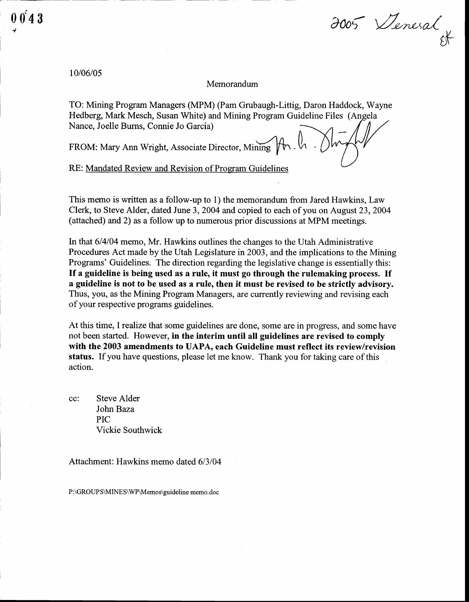$\overline{\phantom{a}}$ 

2005 Venesal gF

## 10/06/05

## Memorandum

TO: Mining Program Managers (MPM) (Pam Grubaugh-Littig, Daron Haddock, Wayne Hedberg, Mark Mesch, Susan White) and Mining Program Guideline Files (Angela Nance, Joelle Burns, Connie Jo Garcia)

FROM: Mary Ann Wright, Associate Director, Mining

RE: Mandated Review and Revision of Program Guidelines

This memo is written as a follow-up to 1) the memorandum from Jared Hawkins, Law Clerk, to Steve Alder, dated June 3,2004 and copied to each of you on August23,2004 (attached) and 2) as a follow up to numerous prior discussions at MPM meetings.

In that 614104 memo, Mr. Hawkins outlines the changes to the Utah Administrative Procedures Act made by the Utah Legislature in 2003, and the implications to the Mining Programs' Guidelines. The direction regarding the legislative change is essentially this: If a guideline is being used as a rule, it must go through the rulemaking process. If a guideline is not to be used as a rule, then it must be revised to be strictly advisory. Thus, you, as the Mining Program Managers, are currently reviewing and revising each of your respective programs guidelines.

At this time, I realize that some guidelines are done, some are in progress, and some have not been started. However, in the interim until all guidelines are revised to comply with the 2003 amendments to UAPA, each Guideline must reflect its review/revision status. If you have questions, please let me know. Thank you for taking care of this action.

cc: Steve Alder John Baza PIC Vickie Southwick

Attachment: Hawkins memo dated 6/3/04

P:\GROUPS\MINES\WP\Memos\guideline memo.doc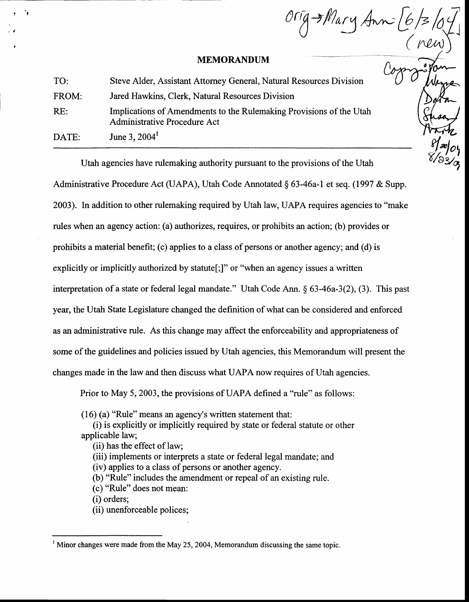## MEMORANDUM

Orig Mary Ann (6)

| TO:   | Steve Alder, Assistant Attorney General, Natural Resources Division                                 |
|-------|-----------------------------------------------------------------------------------------------------|
| FROM: | Jared Hawkins, Clerk, Natural Resources Division                                                    |
| RE:   | Implications of Amendments to the Rulemaking Provisions of the Utah<br>Administrative Procedure Act |
| DATE: | June 3, $2004^1$                                                                                    |

Utah agencies have rulemaking authority pursuant to the provisions of the Utah Administrative Procedure Act (UAPA), Utah Code Annotated § 63-46a-1 et seq. (1997 & Supp. 2003). In addition to other rulemaking required by Utah law, UAPA requires agencies to "make rules when an agency action: (a) authorizes, requires, or prohibits an action; (b) provides or prohibits a material benefit; (c) applies to a class of persons or another agency; and (d) is explicitly or implicitly authorized by statute<sup>[;]"</sup> or "when an agency issues a written interpretation of a state or federal legal mandate." Utah Code Ann. \$ 63-46a-3(2), (3). This past year, the Utah State Legislature changed the definition of what can be considered and enforced as an administrative rule. As this change may affect the enforceability and appropriateness of some of the guidelines and policies issued by Utah agencies, this Memorandum will present the changes made in the law and then discuss what UAPA now requires of Utah agencies.

Prior to May 5, 2003, the provisions of UAPA defined a "rule" as follows:

(16) (a) "Rule" means an agency's written statement that:

(i) is explicitly or implicitly required by state or federal statute or other applicable law;

(ii) has the effect of law;

(iii) implements or interprets a state or federal legal mandate; and

(iv) applies to a class of persons or another agency.

(b) "Rule" includes the amendment or repeal of an existing rule.

(c) "Rule" does not mean:

(i) orders;

I

i

t l

(ii) unenforceable polices;

<sup>&</sup>lt;sup>1</sup> Minor changes were made from the May 25, 2004, Memorandum discussing the same topic.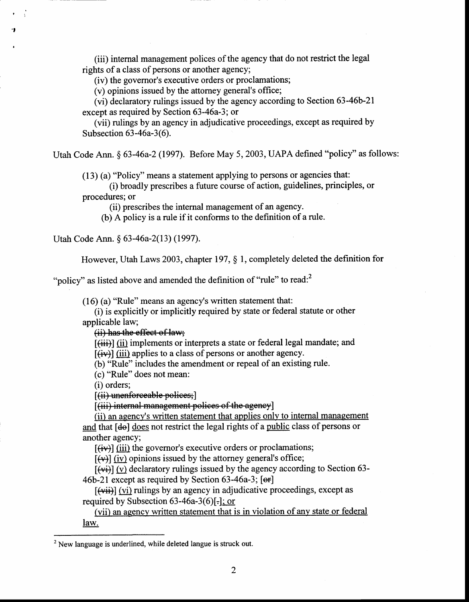(iii) internal management polices of the agency that do not restrict the legal rights of a class of persons or another agency;

(iv) the governor's executive orders or proclamations;

(v) opinions issued by the attorney general's office;

(vi) declaratory rulings issued by the agency according to Section 63-46b-21 except as required by Section 63-46a-3; or

(vii) rulings by an agency in adjudicative proceedings, except as required by Subsection 63-46a-3(6).

Utah Code Ann. \$ 63-46a-2 (1997). Before May 5, 2003, UAPA defined "policy" as follows:

(13) (a) "Policy" means a statement applying to persons or agencies that:

(i) broadly prescribes a future course of action, guidelines, principles, or procedures; or

(ii) prescribes the internal management of an agency.

(b) A policy is a rule if it conforms to the definition of a rule.

Utah Code Ann. \$ 63-46a-2(13) (1997).

, -t

a

However, Utah Laws 2003, chapter 197, \$ l, completely deleted the definition for

"policy" as listed above and amended the definition of "rule" to read: $2$ 

 $(16)$  (a) "Rule" means an agency's written statement that:

(i) is explicitly or implicitly required by state or federal statute or other applicable law;

(ii) has the effect of law;

[(iii)] (ii) implements or interprets a state or federal legal mandate; and  $\left[\frac{div}{dx}\right]$  (iii) applies to a class of persons or another agency.

(b) "Rule" includes the amendment or repeal of an existing rule.

(c) "Rule" does not mean:

(i) orders;

[(ii) unenforceable polices;]

[(iii) internal management polices of the agency]

(ii) an agency's written statement that applies only to internal management and that [de] does not restrict the legal rights of a public class of persons or another agency;

 $\left[\frac{div}{iv}\right]$  (iii) the governor's executive orders or proclamations;

 $\left[\left(\mathbf{\psi}\right)\right]$  (iv) opinions issued by the attorney general's office;

 $\left[\left(\frac{v_i}{v}\right)\right]$  (v) declaratory rulings issued by the agency according to Section 63-46b-21 except as required by Section 63-46a-3; [er]

 $\left[\left(\text{vii}\right)\right]$  (vi) rulings by an agency in adjudicative proceedings, except as required by Subsection  $63-46a-3(6)$ ...

(vii) an agency written statement that is in violation of any state or federal law.

 $t^2$  New language is underlined, while deleted langue is struck out.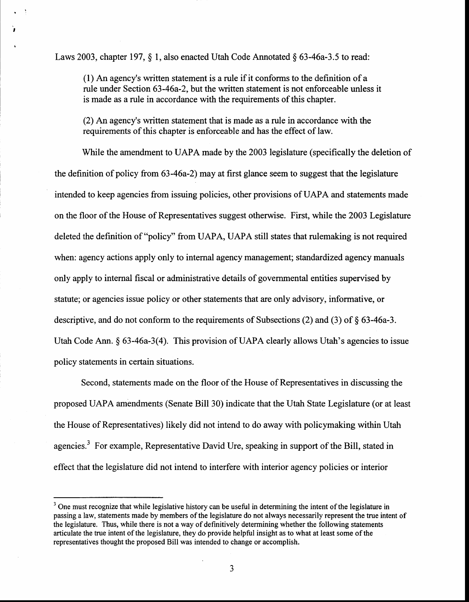Laws 2003, chapter 197,  $\S$  1, also enacted Utah Code Annotated  $\S$  63-46a-3.5 to read:

t

t

(l) An agency's written statement is a rule if it conforms to the definition of a rule under Section 63-46a-2, but the uritten statement is not enforceable unless it is made as a rule in accordance with the requirements of this chapter.

(2) An agency's written statement that is made as a rule in accordance with the requirements of this chapter is enforceable and has the effect of law.

While the amendment to UAPA made by the 2003 legislature (specifically the deletion of the definition of policy from 63-46a-2) may at first glance seem to suggest that the legislature intended to keep agencies from issuing policies, other provisions of UAPA and statements made on the floor of the House of Representatives suggest otherwise. First, while the 2003 Legislature deleted the definition of "policy" from UAPA, UAPA still states that rulemaking is not required when: agency actions apply only to internal agency management; standardized agency manuals only apply to internal fiscal or administrative details of governmental entities supervised by statute; or agencies issue policy or other statements that are only advisory, informative, or descriptive, and do not conform to the requirements of Subsections (2) and (3) of \$ 63-46a-3. Utah Code Ann.  $\S$  63-46a-3(4). This provision of UAPA clearly allows Utah's agencies to issue policy statements in certain situations.

Second, statements made on the floor of the House of Representatives in discussing the proposed UAPA amendments (Senate Bill 30) indicate that the Utah State Legislature (or at least the House of Representatives) likely did not intend to do away with policymaking within Utah agencies.<sup>3</sup> For example, Representative David Ure, speaking in support of the Bill, stated in effect that the legislature did not intend to interfere with interior agency policies or interior

 $3$  One must recognize that while legislative history can be useful in determining the intent of the legislature in passing a law, statements made by members of the legislature do not always necessarily represent the true intent of the legislature. Thus, while there is not a way of definitively determining whether the following statements articulate the tme intent of the legislature, they do provide helpful insight as to what at least some of the representatives thought the proposed Bill was intended to change or accomplish.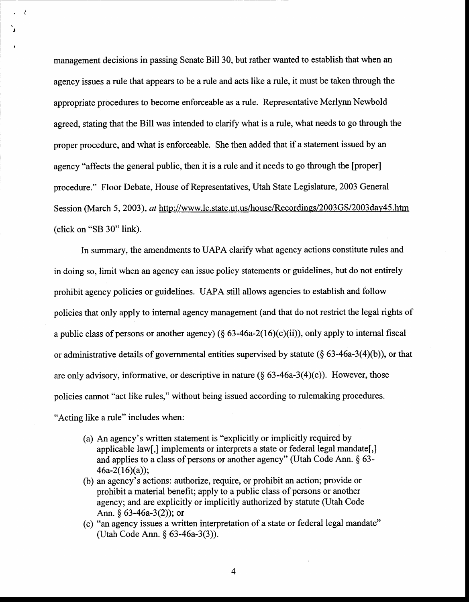management decisions in passing Senate Bill 30, but rather wanted to establish that when an agency issues a rule that appears to be a rule and acts like a rule, it must be taken through the appropriate procedures to become enforceable as a rule. Representative Merlynn Newbold agreed, stating that the Bill was intended to clarify what is a rule, what needs to go through the proper procedure, and what is enforceable. She then added that if a statement issued by an agency "affects the general public, then it is a rule and it needs to go through the [proper] procedure." Floor Debate, House of Representatives, Utah State Legislature, 2003 General Session (March 5, 2003), ar http://www.le.state.ut.us/house/Recordings/2003GS/2003day45.htm (click on "SB 30" link).

,

 $\ddot{\cdot}$ 

I

In summary, the amendments to UAPA clarify what agency actions constitute rules and in doing so, limit when an agency can issue policy statements or guidelines, but do not entirely prohibit agency policies or guidelines. UAPA still allows agencies to establish and follow policies that only apply to internal agency management (and that do not restrict the legal rights of a public class of persons or another agency) ( $\S 63-46a-2(16)(c)(ii)$ ), only apply to internal fiscal or administrative details of governmental entities supervised by statute  $(\S$  63-46a-3(4)(b)), or that are only advisory, informative, or descriptive in nature  $(\S$  63-46a-3(4)(c)). However, those policies cannot "act like rules," without being issued according to rulemaking procedures. "Acting like a rule" includes when:

- (a) An agency's written statement is "explicitly or implicitly required by applicable law[,] implements or interprets a state or federal legal mandate[,] and applies to a class of persons or another agency" (Utah Code Ann.  $\S$  63- $46a-2(16)(a)$ :
- (b) an agency's actions: authorize, require, or prohibit an action; provide or prohibit a material benefit; apply to a public class of persons or another agency; and are explicitly or implicitly authorized by statute (Utah Code Ann. \$ 63-46a-3(2)); or
- (c) "an agency issues a written interpretation of a state or federal legal mandate" (Utah Code Ann. \$ 63-46a-3(3)).

4